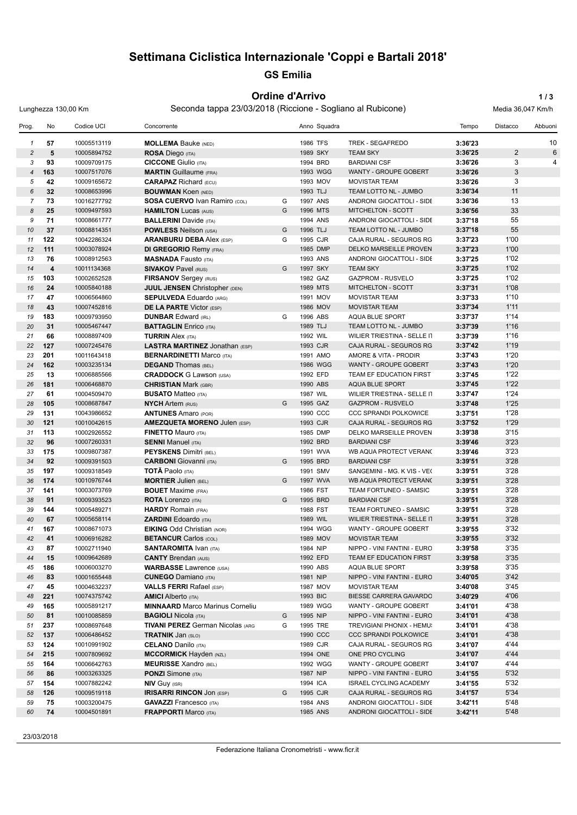# **Settimana Ciclistica Internazionale 'Coppi e Bartali 2018'**

# **GS Emilia**

#### **Ordine d'Arrivo 1/3**

Lunghezza 130,00 Km Seconda tappa 23/03/2018 (Riccione - Sogliano al Rubicone) Media 36,047 Km/h

| Prog.          | No  | Codice UCI  | Concorrente                             |   | Anno Squadra |                               | Tempo   | Distacco     | Abbuoni |
|----------------|-----|-------------|-----------------------------------------|---|--------------|-------------------------------|---------|--------------|---------|
| 1              | 57  | 10005513119 | <b>MOLLEMA Bauke (NED)</b>              |   | 1986 TFS     | TREK - SEGAFREDO              | 3:36'23 |              | 10      |
| $\overline{c}$ | 5   | 10005894752 | <b>ROSA Diego (ITA)</b>                 |   | 1989 SKY     | <b>TEAM SKY</b>               | 3:36'25 | $\mathbf{2}$ | 6       |
| 3              | 93  | 10009709175 | <b>CICCONE</b> Giulio (ITA)             |   | 1994 BRD     | <b>BARDIANI CSF</b>           | 3:36'26 | 3            | 4       |
| $\overline{4}$ | 163 | 10007517076 | <b>MARTIN</b> Guillaume (FRA)           |   | 1993 WGG     | WANTY - GROUPE GOBERT         | 3:36'26 | 3            |         |
| 5              | 42  | 10009165672 | <b>CARAPAZ</b> Richard (ECU)            |   | 1993 MOV     | <b>MOVISTAR TEAM</b>          | 3:36'26 | 3            |         |
| 6              | 32  | 10008653996 | <b>BOUWMAN Koen (NED)</b>               |   | 1993 TLJ     | TEAM LOTTO NL - JUMBO         | 3:36'34 | 11           |         |
| $\overline{7}$ | 73  | 10016277792 | <b>SOSA CUERVO Ivan Ramiro (COL)</b>    | G | 1997 ANS     | ANDRONI GIOCATTOLI - SIDE     | 3:36'36 | 13           |         |
| 8              | 25  | 10009497593 | <b>HAMILTON Lucas (AUS)</b>             | G | 1996 MTS     | MITCHELTON - SCOTT            | 3:36'56 | 33           |         |
| 9              | 71  | 10008661777 | <b>BALLERINI</b> Davide (ITA)           |   | 1994 ANS     | ANDRONI GIOCATTOLI - SIDE     | 3:37'18 | 55           |         |
| 10             | 37  | 10008814351 | <b>POWLESS Neilson (USA)</b>            | G | 1996 TLJ     | TEAM LOTTO NL - JUMBO         | 3:37'18 | 55           |         |
| 11             | 122 | 10042286324 | <b>ARANBURU DEBA Alex (ESP)</b>         | G | 1995 CJR     | CAJA RURAL - SEGUROS RG       | 3:37'23 | 1'00         |         |
| 12             | 111 | 10003078924 | <b>DI GREGORIO Remy (FRA)</b>           |   | 1985 DMP     | <b>DELKO MARSEILLE PROVEN</b> | 3:37'23 | 1'00         |         |
| 13             | 76  | 10008912563 | <b>MASNADA Fausto (ITA)</b>             |   | 1993 ANS     | ANDRONI GIOCATTOLI - SIDE     | 3:37'25 | 1'02         |         |
| 14             | 4   | 10011134368 | <b>SIVAKOV Pavel (RUS)</b>              | G | 1997 SKY     | <b>TEAM SKY</b>               | 3:37'25 | 1'02         |         |
| 15             | 103 | 10002652528 | <b>FIRSANOV Sergey (RUS)</b>            |   | 1982 GAZ     | <b>GAZPROM - RUSVELO</b>      | 3:37'25 | 1'02         |         |
| 16             | 24  | 10005840188 | <b>JUUL JENSEN Christopher (DEN)</b>    |   | 1989 MTS     | MITCHELTON - SCOTT            | 3:37'31 | 1'08         |         |
| 17             | 47  | 10006564860 | <b>SEPULVEDA Eduardo (ARG)</b>          |   | 1991 MOV     | <b>MOVISTAR TEAM</b>          | 3:37'33 | 1'10         |         |
| 18             | 43  | 10007452816 | <b>DE LA PARTE Victor (ESP)</b>         |   | 1986 MOV     | <b>MOVISTAR TEAM</b>          | 3:37'34 | 1'11         |         |
| 19             | 183 | 10009793950 | <b>DUNBAR Edward (IRL)</b>              | G | 1996 ABS     | AQUA BLUE SPORT               | 3:37'37 | 1'14         |         |
| 20             | 31  | 10005467447 | <b>BATTAGLIN</b> Enrico (ITA)           |   | 1989 TLJ     | TEAM LOTTO NL - JUMBO         | 3:37'39 | 1'16         |         |
| 21             | 66  | 10008897409 | <b>TURRIN Alex (ITA)</b>                |   | 1992 WIL     | WILIER TRIESTINA - SELLE IT   | 3:37'39 | 1'16         |         |
| 22             | 127 | 10007245476 | <b>LASTRA MARTINEZ Jonathan (ESP)</b>   |   | 1993 CJR     | CAJA RURAL - SEGUROS RG       | 3:37'42 | 1'19         |         |
| 23             | 201 | 10011643418 | <b>BERNARDINETTI Marco (ITA)</b>        |   | 1991 AMO     | AMORE & VITA - PRODIR         | 3:37'43 | 1'20         |         |
| 24             | 162 | 10003235134 | <b>DEGAND Thomas (BEL)</b>              |   | 1986 WGG     | WANTY - GROUPE GOBERT         | 3:37'43 | 1'20         |         |
| 25             | 13  | 10006885566 | <b>CRADDOCK G Lawson (USA)</b>          |   | 1992 EFD     | TEAM EF EDUCATION FIRST       | 3:37'45 | 1'22         |         |
| 26             | 181 | 10006468870 | <b>CHRISTIAN Mark (GBR)</b>             |   | 1990 ABS     | <b>AQUA BLUE SPORT</b>        | 3:37'45 | 1'22         |         |
| 27             | 61  | 10004509470 | <b>BUSATO Matteo (ITA)</b>              |   | 1987 WIL     | WILIER TRIESTINA - SELLE IT   | 3:37'47 | 1'24         |         |
| 28             | 105 | 10008687847 | <b>NYCH Artem (RUS)</b>                 | G | 1995 GAZ     | <b>GAZPROM - RUSVELO</b>      | 3:37'48 | 1'25         |         |
| 29             | 131 | 10043986652 | <b>ANTUNES</b> Amaro (POR)              |   | 1990 CCC     | <b>CCC SPRANDI POLKOWICE</b>  | 3:37'51 | 1'28         |         |
| 30             | 121 | 10010042615 | <b>AMEZQUETA MORENO Julen (ESP)</b>     |   | 1993 CJR     | CAJA RURAL - SEGUROS RG       | 3:37'52 | 1'29         |         |
| 31             | 113 | 10002926552 | <b>FINETTO Mauro (ITA)</b>              |   | 1985 DMP     | DELKO MARSEILLE PROVEN        | 3:39'38 | 3'15         |         |
| 32             | 96  | 10007260331 | <b>SENNI Manuel (ITA)</b>               |   | 1992 BRD     | <b>BARDIANI CSF</b>           | 3:39'46 | 3'23         |         |
| 33             | 175 | 10009807387 | <b>PEYSKENS Dimitri (BEL)</b>           |   | 1991 WVA     | WB AQUA PROTECT VERANC        | 3:39'46 | 3'23         |         |
| 34             | 92  | 10009391503 | <b>CARBONI</b> Giovanni (ITA)           | G | 1995 BRD     | <b>BARDIANI CSF</b>           | 3:39'51 | 3'28         |         |
| 35             | 197 | 10009318549 | <b>TOTÃ Paolo</b> (ITA)                 |   | 1991 SMV     | SANGEMINI - MG. K VIS - VE(   | 3:39'51 | 3'28         |         |
| 36             | 174 | 10010976744 | <b>MORTIER Julien (BEL)</b>             | G | 1997 WVA     | WB AQUA PROTECT VERANC        | 3:39'51 | 3'28         |         |
| 37             | 141 | 10003073769 | <b>BOUET</b> Maxime (FRA)               |   | 1986 FST     | TEAM FORTUNEO - SAMSIC        | 3:39'51 | 3'28         |         |
| 38             | 91  | 10009393523 | <b>ROTA</b> Lorenzo (ITA)               | G | 1995 BRD     | <b>BARDIANI CSF</b>           | 3:39'51 | 3'28         |         |
| 39             | 144 | 10005489271 | <b>HARDY</b> Romain (FRA)               |   | 1988 FST     | TEAM FORTUNEO - SAMSIC        | 3:39'51 | 3'28         |         |
| 40             | 67  | 10005658114 | <b>ZARDINI</b> Edoardo (ITA)            |   | 1989 WIL     | WILIER TRIESTINA - SELLE IT   | 3:39'51 | 3'28         |         |
| 41             | 167 | 10008671073 | <b>EIKING Odd Christian (NOR)</b>       |   | 1994 WGG     | WANTY - GROUPE GOBERT         | 3:39'55 | 3'32         |         |
| 42             | 41  | 10006916282 | <b>BETANCUR Carlos (COL)</b>            |   | 1989 MOV     | <b>MOVISTAR TEAM</b>          | 3:39'55 | 3'32         |         |
| 43             | 87  | 10002711940 | <b>SANTAROMITA IVAN (ITA)</b>           |   | 1984 NIP     | NIPPO - VINI FANTINI - EURO   | 3:39'58 | 3'35         |         |
| 44             | 15  | 10009642689 | <b>CANTY Brendan (AUS)</b>              |   | 1992 EFD     | TEAM EF EDUCATION FIRST       | 3:39'58 | 3'35         |         |
| 45             | 186 | 10006003270 | <b>WARBASSE Lawrence (USA)</b>          |   | 1990 ABS     | AQUA BLUE SPORT               | 3:39'58 | 3'35         |         |
| 46             | 83  | 10001655448 | <b>CUNEGO</b> Damiano (ITA)             |   | 1981 NIP     | NIPPO - VINI FANTINI - EURO   | 3:40'05 | 3'42         |         |
| 47             | 45  | 10004632237 | <b>VALLS FERRI Rafael (ESP)</b>         |   | 1987 MOV     | <b>MOVISTAR TEAM</b>          | 3:40'08 | 3'45         |         |
| 48             | 221 | 10074375742 | <b>AMICI</b> Alberto (ITA)              |   | 1993 BIC     | BIESSE CARRERA GAVARDO        | 3:40'29 | 4'06         |         |
| 49             | 165 | 10005891217 | <b>MINNAARD</b> Marco Marinus Corneliu  |   | 1989 WGG     | WANTY - GROUPE GOBERT         | 3:41'01 | 4'38         |         |
| 50             | 81  | 10010085859 | <b>BAGIOLI Nicola (ITA)</b>             | G | 1995 NIP     | NIPPO - VINI FANTINI - EURO   | 3:41'01 | 4'38         |         |
| 51             | 237 | 10008697648 | <b>TIVANI PEREZ German Nicolas (ARG</b> | G | 1995 TRE     | TREVIGIANI PHONIX - HEMU:     | 3:41'01 | 4'38         |         |
| 52             | 137 | 10006486452 | <b>TRATNIK Jan (SLO)</b>                |   | 1990 CCC     | <b>CCC SPRANDI POLKOWICE</b>  | 3:41'01 | 4'38         |         |
| 53             | 124 | 10010991902 | <b>CELANO</b> Danilo (ITA)              |   | 1989 CJR     | CAJA RURAL - SEGUROS RG       | 3:41'07 | 4'44         |         |
| 54             | 215 | 10007809692 | <b>MCCORMICK Hayden (NZL)</b>           |   | 1994 ONE     | ONE PRO CYCLING               | 3:41'07 | 4'44         |         |
| 55             | 164 | 10006642763 | <b>MEURISSE Xandro (BEL)</b>            |   | 1992 WGG     | WANTY - GROUPE GOBERT         | 3:41'07 | 4'44         |         |
| 56             | 86  | 10003263325 | <b>PONZI</b> Simone (ITA)               |   | 1987 NIP     | NIPPO - VINI FANTINI - EURO   | 3:41'55 | 5'32         |         |
| 57             | 154 | 10007882242 | <b>NIV Guy (ISR)</b>                    |   | 1994 ICA     | ISRAEL CYCLING ACADEMY        | 3:41'55 | 5'32         |         |
| 58             | 126 | 10009519118 | <b>IRISARRI RINCON JON (ESP)</b>        | G | 1995 CJR     | CAJA RURAL - SEGUROS RG       | 3:41'57 | 5'34         |         |
| 59             | 75  | 10003200475 | <b>GAVAZZI</b> Francesco (ITA)          |   | 1984 ANS     | ANDRONI GIOCATTOLI - SIDE     | 3:42'11 | 5'48         |         |
| 60             | 74  | 10004501891 | <b>FRAPPORTI Marco (ITA)</b>            |   | 1985 ANS     | ANDRONI GIOCATTOLI - SIDE     | 3:42'11 | 5'48         |         |
|                |     |             |                                         |   |              |                               |         |              |         |

23/03/2018

Federazione Italiana Cronometristi - www.ficr.it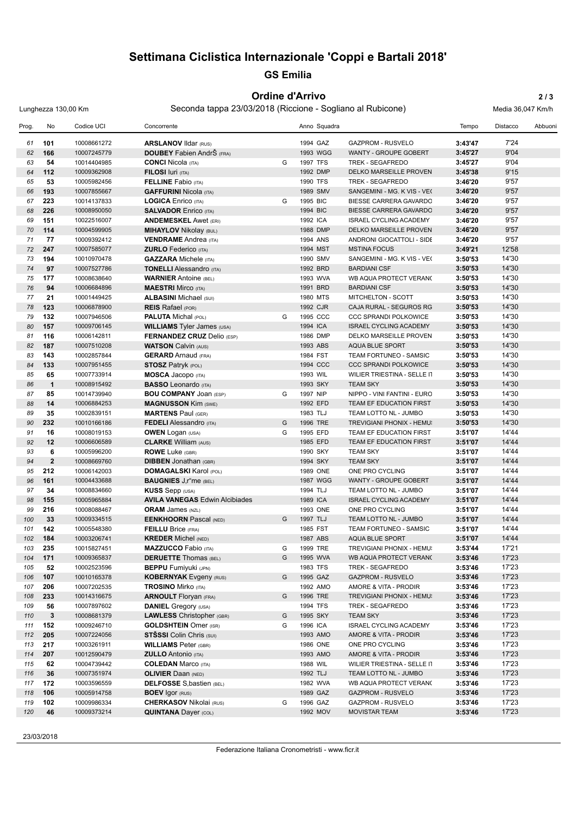## **Settimana Ciclistica Internazionale 'Coppi e Bartali 2018'**

#### **GS Emilia**

#### **Ordine d'Arrivo 2 / 3**

Lunghezza 130,00 Km Seconda tappa 23/03/2018 (Riccione - Sogliano al Rubicone) Media 36,047 Km/h

Prog. No Codice UCI Concorrente Anno Squadra Tempo Distacco Abbuoni **101** 10008661272 **ARSLANOV** Ildar (RUS) 1994 GAZ GAZPROM - RUSVELO **3:43'47** 7'24 **166** 10007245779 **DOUBEY** Fabien AndrŠ (FRA) 1993 WGG WANTY - GROUPE GOBERT **3:45'27** 9'04 **54** 10014404985 **CONCI** Nicola (ITA) G 1997 TFS TREK - SEGAFREDO **3:45'27** 9'04 **64 112** 10009362908 **FILOSI** Iuri (ITA) 1992 DMP DELKO MARSEILLE PROVEN 3:45'38 **53** 10005982456 **FELLINE** Fabio (ITA) 1990 TFS TREK - SEGAFREDO **3:46'20** 9'57 **193** 10007855667 **GAFFURINI** Nicola (ITA) 1989 SMV SANGEMINI - MG. K VIS - VEGA **3:46'20** 9'57 **223** 10014137833 **LOGICA** Enrico (ITA) G 1995 BIC BIESSE CARRERA GAVARDO **3:46'20** 9'57 **226** 10008950050 **SALVADOR** Enrico (ITA) 1994 BIC BIESSE CARRERA GAVARDO **3:46'20** 9'57 **151** 10022516007 **ANDEMESKEL** Awet (ERI) 1992 ICA ISRAEL CYCLING ACADEMY **3:46'20** 9'57 **114** 10004599905 **MIHAYLOV** Nikolay (BUL) 1988 DMP DELKO MARSEILLE PROVENCE KTM **3:46'20** 9'57 **77** 10009392412 **VENDRAME** Andrea (ITA) 1994 ANS ANDRONI GIOCATTOLI - SIDERMEC **3:46'20** 9'57 **247** 10007585077 **ZURLO** Federico (ITA) 1994 MST MSTINA FOCUS **3:49'21** 12'58 **194** 10010970478 **GAZZARA** Michele (ITA) 1990 SMV SANGEMINI - MG. K VIS - VEGA **3:50'53** 14'30 **97** 10007527786 **TONELLI** Alessandro (ITA) 1992 BRD BARDIANI CSF **3:50'53** 14'30 **177** 10008638640 **WARNIER** Antoine (BEL) 1993 WVA WB AQUA PROTECT VERANCLASSIC **3:50'53** 14'30 **94** 10006684896 **MAESTRI** Mirco (ITA) 1991 BRD BARDIANI CSF **3:50'53** 14'30 **21** 10001449425 **ALBASINI** Michael (SUI) 1980 MTS MITCHELTON - SCOTT **3:50'53** 14'30 **123** 10006878900 **REIS** Rafael (POR) 1992 CJR CAJA RURAL - SEGUROS RGA **3:50'53** 14'30 **132** 10007946506 **PALUTA** Michal (POL) G 1995 CCC CCC SPRANDI POLKOWICE **3:50'53** 14'30 **157** 10009706145 **WILLIAMS** Tyler James (USA) 1994 ICA ISRAEL CYCLING ACADEMY **3:50'53** 14'30 **116** 10006142811 **FERNANDEZ CRUZ** Delio (ESP) 1986 DMP DELKO MARSEILLE PROVEN 3:50'53 14'30 **187** 10007510208 **WATSON** Calvin (AUS) 1993 ABS AQUA BLUE SPORT **3:50'53** 14'30 **143** 10002857844 **GERARD** Arnaud (FRA) 1984 FST TEAM FORTUNEO - SAMSIC **3:50'53** 14'30 **133** 10007951455 **STOSZ** Patryk (POL) 1994 CCC CCC SPRANDI POLKOWICE **3:50'53** 14'30 **65** 10007733914 **MOSCA** Jacopo (ITA) 1993 WIL WILIER TRIESTINA - SELLE ITALIA **3:50'53** 14'30 **1** 10008915492 **BASSO** Leonardo (ITA) 1993 SKY TEAM SKY **3:50'53** 14'30 **85** 10014739940 **BOU COMPANY** Joan (ESP) G 1997 NIP NIPPO - VINI FANTINI - EUROPA OVINI **3:50'53** 14'30 **14** 10006884253 **MAGNUSSON** Kim (SWE) 1992 EFD TEAM EF EDUCATION FIRST 3:50'53 14'30 **35** 10002839151 **MARTENS** Paul (GER) 1983 TLJ TEAM LOTTO NL - JUMBO **3:50'53** 14'30 **232** 10010166186 **FEDELI** Alessandro (ITA) G 1996 TRE TREVIGIANI PHONIX - HEMUS 1896 **3:50'53** 14'30 **16** 10008019153 **OWEN** Logan (USA) G 1995 EFD TEAM EF EDUCATION FIRST - DRAPAC P/B CANNONDALE **3:51'07** 14'44 **12** 10006606589 **CLARKE** William (AUS) 1985 EFD TEAM EF EDUCATION FIRST 3:51'07 14'44 **6** 10005996200 **ROWE** Luke (GBR) 1990 SKY TEAM SKY **3:51'07** 14'44 **2** 10008669760 **DIBBEN** Jonathan (GBR) 1994 SKY TEAM SKY **3:51'07** 14'44 **212** 10006142003 **DOMAGALSKI** Karol (POL) 1989 ONE ONE PRO CYCLING **3:51'07** 14'44 **161** 10004433688 **BAUGNIES** J'r"me (BEL) 1987 WGG WANTY - GROUPE GOBERT **3:51'07** 14'44 **34** 10008834660 **KUSS** Sepp (USA) 1994 TLJ TEAM LOTTO NL - JUMBO **3:51'07** 14'44 **155** 10005965884 **AVILA VANEGAS** Edwin Alcibiades 1989 ICA ISRAEL CYCLING ACADEMY **3:51'07** 14'44 **216** 10008088467 **ORAM** James (NZL) 1993 ONE ONE PRO CYCLING **3:51'07** 14'44 **33** 10009334515 **EENKHOORN** Pascal (NED) G 1997 TLJ TEAM LOTTO NL - JUMBO **3:51'07** 14'44 **142** 10005548380 **FEILLU** Brice (FRA) 1985 FST TEAM FORTUNEO - SAMSIC **3:51'07** 14'44 **184** 10003206741 **KREDER** Michel (NED) 1987 ABS AQUA BLUE SPORT **3:51'07** 14'44 **235** 10015827451 **MAZZUCCO** Fabio (ITA) G 1999 TRE TREVIGIANI PHONIX - HEMUS 1896 **3:53'44** 17'21 **171** 10009365837 **DERUETTE** Thomas (BEL) G 1995 WVA WB AQUA PROTECT VERANCLASSIC **3:53'46** 17'23 **52** 10002523596 **BEPPU** Fumiyuki (JPN) 1983 TFS TREK - SEGAFREDO **3:53'46** 17'23 **107** 10010165378 **KOBERNYAK** Evgeny (RUS) G 1995 GAZ GAZPROM - RUSVELO **3:53'46** 17'23 **206** 10007202535 **TROSINO** Mirko (ITA) 1992 AMO AMORE & VITA - PRODIR **3:53'46** 17'23 **233** 10014316675 **ARNOULT** Floryan (FRA) G 1996 TRE TREVIGIANI PHONIX - HEMUS 1896 **3:53'46** 17'23 **56** 10007897602 **DANIEL** Gregory (USA) 1994 TFS TREK - SEGAFREDO **3:53'46** 17'23 **3** 10008681379 **LAWLESS** Christopher (GBR) G 1995 SKY TEAM SKY **3:53'46** 17'23 **152** 10009246710 **GOLDSHTEIN** Omer (ISR) G 1996 ICA ISRAEL CYCLING ACADEMY **3:53'46** 17'23 **205** 10007224056 **STŠSSI** Colin Chris (SUI) 1993 AMO AMORE & VITA - PRODIR **3:53'46** 17'23 **217** 10003261911 **WILLIAMS** Peter (GBR) 1986 ONE ONE PRO CYCLING **3:53'46** 17'23 **207** 10012590479 **ZULLO** Antonio (ITA) 1993 AMO AMORE & VITA - PRODIR **3:53'46** 17'23 **62** 10004739442 **COLEDAN** Marco (ITA) 1988 WIL WILIER TRIESTINA - SELLE ITALIA **3:53'46** 17'23 **36** 10007351974 **OLIVIER** Daan (NED) 1992 TLJ TEAM LOTTO NL - JUMBO **3:53'46** 17'23 **172** 10003596559 **DELFOSSE** S'bastien (BEL) 1982 WVA WB AQUA PROTECT VERANCLASSIC **3:53'46** 17'23 **106** 10005914758 **BOEV** Igor (RUS) 1989 GAZ GAZPROM - RUSVELO **3:53'46** 17'23 **102** 10009986334 **CHERKASOV** Nikolai (RUS) G 1996 GAZ GAZPROM - RUSVELO **3:53'46** 17'23 **46** 10009373214 **QUINTANA** Dayer (COL) 1992 MOV MOVISTAR TEAM **3:53'46** 17'23

23/03/2018